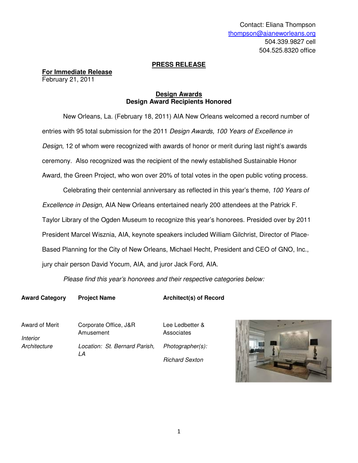# **PRESS RELEASE**

**For Immediate Release** February 21, 2011

## **Design Awards Design Award Recipients Honored**

 New Orleans, La. (February 18, 2011) AIA New Orleans welcomed a record number of entries with 95 total submission for the 2011 Design Awards, 100 Years of Excellence in Design, 12 of whom were recognized with awards of honor or merit during last night's awards ceremony. Also recognized was the recipient of the newly established Sustainable Honor Award, the Green Project, who won over 20% of total votes in the open public voting process.

Celebrating their centennial anniversary as reflected in this year's theme, 100 Years of Excellence in Design, AIA New Orleans entertained nearly 200 attendees at the Patrick F. Taylor Library of the Ogden Museum to recognize this year's honorees. Presided over by 2011

President Marcel Wisznia, AIA, keynote speakers included William Gilchrist, Director of Place-Based Planning for the City of New Orleans, Michael Hecht, President and CEO of GNO, Inc.,

jury chair person David Yocum, AIA, and juror Jack Ford, AIA.

Please find this year's honorees and their respective categories below:

**Award Category Project Name Architect(s) of Record**

Award of Merit Interior **Architecture** 

Corporate Office, J&R Amusement Location: St. Bernard Parish, LA

Lee Ledbetter & **Associates** Photographer(s): Richard Sexton

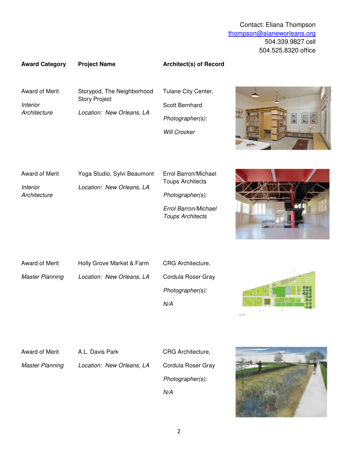## **Award Category Project Name Architect(s) of Record**

Award of Merit

**Interior Architecture**  Storypod, The Neighborhood Story Project Location: New Orleans, LA

Tulane City Center, Scott Bernhard Photographer(s): Will Crocker



Award of Merit Interior **Architecture** Yoga Studio, Sylvi Beaumont Location: New Orleans, LA Errol Barron/Michael Toups Architects Photographer(s): Errol Barron/Michael Toups Architects



Award of Merit Master Planning Holly Grove Market & Farm Location: New Orleans, LA CRG Architecture, Cordula Roser Gray Photographer(s):

N/A



Award of Merit

A.L. Davis Park

Master Planning Location: New Orleans, LA

Cordula Roser Gray Photographer(s): N/A

CRG Architecture,

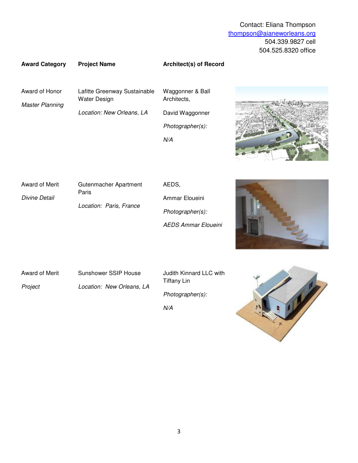## **Award Category Project Name Architect(s) of Record**

Award of Honor

Master Planning

Lafitte Greenway Sustainable Water Design Location: New Orleans, LA

Waggonner & Ball Architects, David Waggonner Photographer(s): N/A



Award of Merit Divine Detail Paris

Gutenmacher Apartment Location: Paris, France

AEDS, Ammar Eloueini Photographer(s): AEDS Ammar Eloueini



Award of Merit Project

Sunshower SSIP House Location: New Orleans, LA Judith Kinnard LLC with Tiffany Lin Photographer(s):

N/A

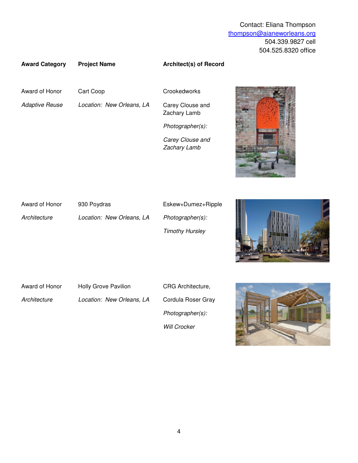## **Award Category Project Name Architect(s) of Record**

Award of Honor

Adaptive Reuse

Cart Coop

Location: New Orleans, LA

**Crookedworks** 

Carey Clouse and Zachary Lamb

Photographer(s):

Carey Clouse and Zachary Lamb



| Award of Honor | 930 Poydras               | Eskew+Dumez+Ripple     |                  |
|----------------|---------------------------|------------------------|------------------|
| Architecture   | Location: New Orleans, LA | Photographer(s):       | WWW              |
|                |                           | <b>Timothy Hursley</b> | <b>Alli</b> Last |

Award of Honor

**Architecture** 

Holly Grove Pavilion Location: New Orleans, LA CRG Architecture, Cordula Roser Gray Photographer(s): Will Crocker